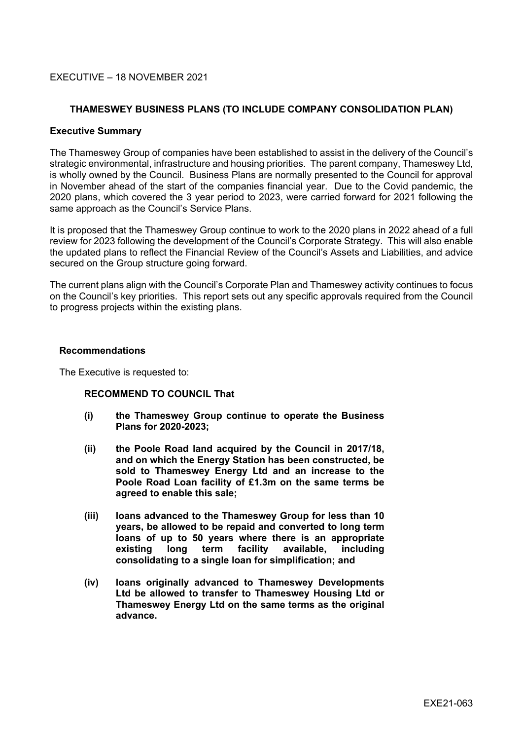## EXECUTIVE – 18 NOVEMBER 2021

## **THAMESWEY BUSINESS PLANS (TO INCLUDE COMPANY CONSOLIDATION PLAN)**

#### **Executive Summary**

The Thameswey Group of companies have been established to assist in the delivery of the Council's strategic environmental, infrastructure and housing priorities. The parent company, Thameswey Ltd, is wholly owned by the Council. Business Plans are normally presented to the Council for approval in November ahead of the start of the companies financial year. Due to the Covid pandemic, the 2020 plans, which covered the 3 year period to 2023, were carried forward for 2021 following the same approach as the Council's Service Plans.

It is proposed that the Thameswey Group continue to work to the 2020 plans in 2022 ahead of a full review for 2023 following the development of the Council's Corporate Strategy. This will also enable the updated plans to reflect the Financial Review of the Council's Assets and Liabilities, and advice secured on the Group structure going forward.

The current plans align with the Council's Corporate Plan and Thameswey activity continues to focus on the Council's key priorities. This report sets out any specific approvals required from the Council to progress projects within the existing plans.

#### **Recommendations**

The Executive is requested to:

#### **RECOMMEND TO COUNCIL That**

- **(i) the Thameswey Group continue to operate the Business Plans for 2020-2023;**
- **(ii) the Poole Road land acquired by the Council in 2017/18, and on which the Energy Station has been constructed, be sold to Thameswey Energy Ltd and an increase to the Poole Road Loan facility of £1.3m on the same terms be agreed to enable this sale;**
- **(iii) loans advanced to the Thameswey Group for less than 10 years, be allowed to be repaid and converted to long term loans of up to 50 years where there is an appropriate existing long term facility available, including consolidating to a single loan for simplification; and**
- **(iv) loans originally advanced to Thameswey Developments Ltd be allowed to transfer to Thameswey Housing Ltd or Thameswey Energy Ltd on the same terms as the original advance.**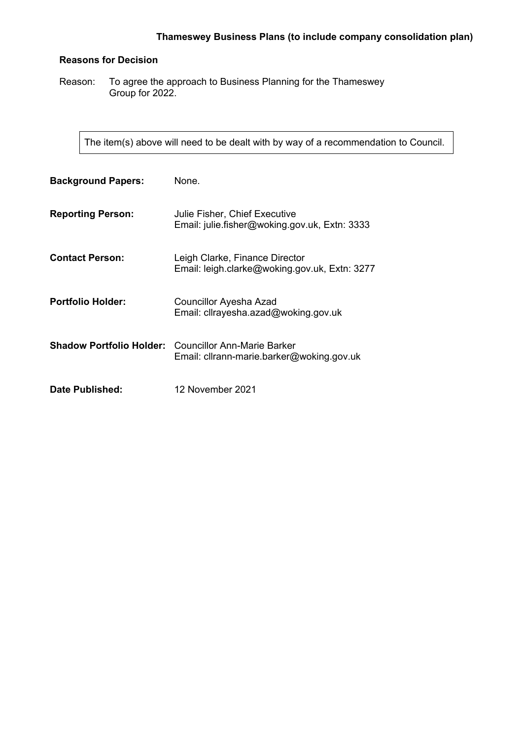## **Reasons for Decision**

Reason: To agree the approach to Business Planning for the Thameswey Group for 2022.

The item(s) above will need to be dealt with by way of a recommendation to Council.

| <b>Background Papers:</b> | None.                                                                                                    |
|---------------------------|----------------------------------------------------------------------------------------------------------|
| <b>Reporting Person:</b>  | Julie Fisher, Chief Executive<br>Email: julie.fisher@woking.gov.uk, Extn: 3333                           |
| <b>Contact Person:</b>    | Leigh Clarke, Finance Director<br>Email: leigh.clarke@woking.gov.uk, Extn: 3277                          |
| <b>Portfolio Holder:</b>  | Councillor Ayesha Azad<br>Email: cllrayesha.azad@woking.gov.uk                                           |
|                           | <b>Shadow Portfolio Holder:</b> Councillor Ann-Marie Barker<br>Email: cllrann-marie.barker@woking.gov.uk |
| <b>Date Published:</b>    | 12 November 2021                                                                                         |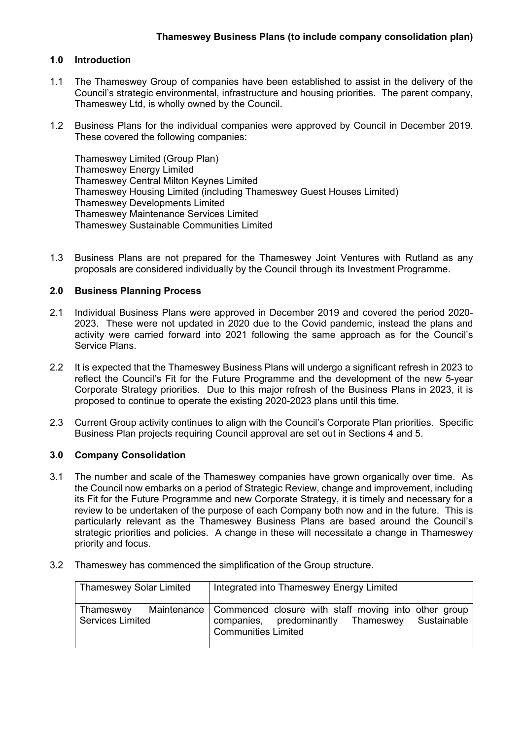## **1.0 Introduction**

- 1.1 The Thameswey Group of companies have been established to assist in the delivery of the Council's strategic environmental, infrastructure and housing priorities. The parent company, Thameswey Ltd, is wholly owned by the Council.
- 1.2 Business Plans for the individual companies were approved by Council in December 2019. These covered the following companies:

Thameswey Limited (Group Plan) Thameswey Energy Limited Thameswey Central Milton Keynes Limited Thameswey Housing Limited (including Thameswey Guest Houses Limited) Thameswey Developments Limited Thameswey Maintenance Services Limited Thameswey Sustainable Communities Limited

1.3 Business Plans are not prepared for the Thameswey Joint Ventures with Rutland as any proposals are considered individually by the Council through its Investment Programme.

## **2.0 Business Planning Process**

- 2.1 Individual Business Plans were approved in December 2019 and covered the period 2020- 2023. These were not updated in 2020 due to the Covid pandemic, instead the plans and activity were carried forward into 2021 following the same approach as for the Council's Service Plans.
- 2.2 It is expected that the Thameswey Business Plans will undergo a significant refresh in 2023 to reflect the Council's Fit for the Future Programme and the development of the new 5-year Corporate Strategy priorities. Due to this major refresh of the Business Plans in 2023, it is proposed to continue to operate the existing 2020-2023 plans until this time.
- 2.3 Current Group activity continues to align with the Council's Corporate Plan priorities. Specific Business Plan projects requiring Council approval are set out in Sections 4 and 5.

## **3.0 Company Consolidation**

- 3.1 The number and scale of the Thameswey companies have grown organically over time. As the Council now embarks on a period of Strategic Review, change and improvement, including its Fit for the Future Programme and new Corporate Strategy, it is timely and necessary for a review to be undertaken of the purpose of each Company both now and in the future. This is particularly relevant as the Thameswey Business Plans are based around the Council's strategic priorities and policies. A change in these will necessitate a change in Thameswey priority and focus.
- 3.2 Thameswey has commenced the simplification of the Group structure.

| <b>Thameswey Solar Limited</b>       | Integrated into Thameswey Energy Limited                                                                                                           |
|--------------------------------------|----------------------------------------------------------------------------------------------------------------------------------------------------|
| Thameswey<br><b>Services Limited</b> | Maintenance   Commenced closure with staff moving into other group<br>companies, predominantly Thameswey Sustainable<br><b>Communities Limited</b> |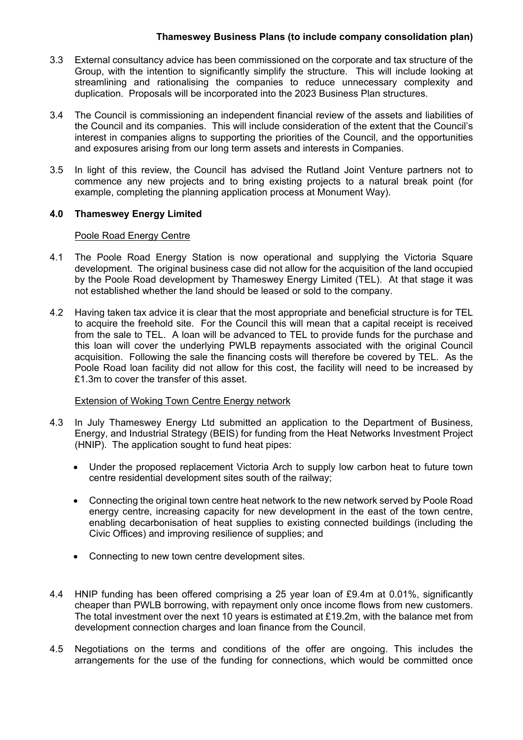## **Thameswey Business Plans (to include company consolidation plan)**

- 3.3 External consultancy advice has been commissioned on the corporate and tax structure of the Group, with the intention to significantly simplify the structure. This will include looking at streamlining and rationalising the companies to reduce unnecessary complexity and duplication. Proposals will be incorporated into the 2023 Business Plan structures.
- 3.4 The Council is commissioning an independent financial review of the assets and liabilities of the Council and its companies. This will include consideration of the extent that the Council's interest in companies aligns to supporting the priorities of the Council, and the opportunities and exposures arising from our long term assets and interests in Companies.
- 3.5 In light of this review, the Council has advised the Rutland Joint Venture partners not to commence any new projects and to bring existing projects to a natural break point (for example, completing the planning application process at Monument Way).

# **4.0 Thameswey Energy Limited**

## Poole Road Energy Centre

- 4.1 The Poole Road Energy Station is now operational and supplying the Victoria Square development. The original business case did not allow for the acquisition of the land occupied by the Poole Road development by Thameswey Energy Limited (TEL). At that stage it was not established whether the land should be leased or sold to the company.
- 4.2 Having taken tax advice it is clear that the most appropriate and beneficial structure is for TEL to acquire the freehold site. For the Council this will mean that a capital receipt is received from the sale to TEL. A loan will be advanced to TEL to provide funds for the purchase and this loan will cover the underlying PWLB repayments associated with the original Council acquisition. Following the sale the financing costs will therefore be covered by TEL. As the Poole Road loan facility did not allow for this cost, the facility will need to be increased by £1.3m to cover the transfer of this asset.

## Extension of Woking Town Centre Energy network

- 4.3 In July Thameswey Energy Ltd submitted an application to the Department of Business, Energy, and Industrial Strategy (BEIS) for funding from the Heat Networks Investment Project (HNIP). The application sought to fund heat pipes:
	- Under the proposed replacement Victoria Arch to supply low carbon heat to future town centre residential development sites south of the railway;
	- Connecting the original town centre heat network to the new network served by Poole Road energy centre, increasing capacity for new development in the east of the town centre, enabling decarbonisation of heat supplies to existing connected buildings (including the Civic Offices) and improving resilience of supplies; and
	- Connecting to new town centre development sites.
- 4.4 HNIP funding has been offered comprising a 25 year loan of £9.4m at 0.01%, significantly cheaper than PWLB borrowing, with repayment only once income flows from new customers. The total investment over the next 10 years is estimated at £19.2m, with the balance met from development connection charges and loan finance from the Council.
- 4.5 Negotiations on the terms and conditions of the offer are ongoing. This includes the arrangements for the use of the funding for connections, which would be committed once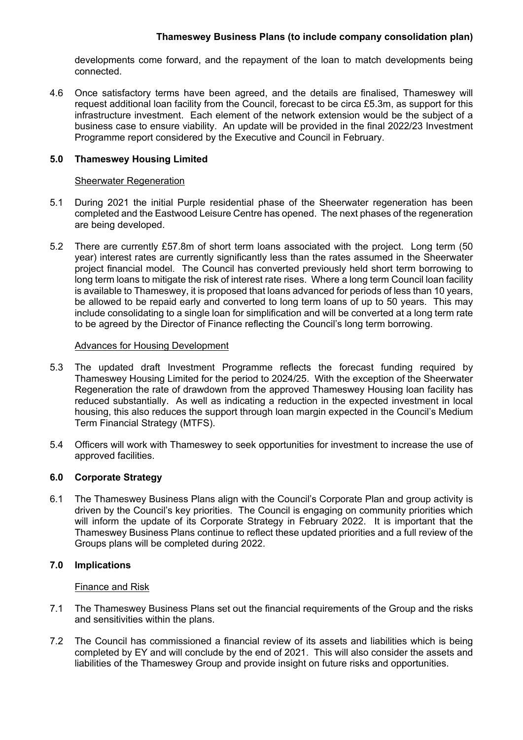# **Thameswey Business Plans (to include company consolidation plan)**

developments come forward, and the repayment of the loan to match developments being connected.

4.6 Once satisfactory terms have been agreed, and the details are finalised, Thameswey will request additional loan facility from the Council, forecast to be circa £5.3m, as support for this infrastructure investment. Each element of the network extension would be the subject of a business case to ensure viability. An update will be provided in the final 2022/23 Investment Programme report considered by the Executive and Council in February.

## **5.0 Thameswey Housing Limited**

#### Sheerwater Regeneration

- 5.1 During 2021 the initial Purple residential phase of the Sheerwater regeneration has been completed and the Eastwood Leisure Centre has opened. The next phases of the regeneration are being developed.
- 5.2 There are currently £57.8m of short term loans associated with the project. Long term (50 year) interest rates are currently significantly less than the rates assumed in the Sheerwater project financial model. The Council has converted previously held short term borrowing to long term loans to mitigate the risk of interest rate rises. Where a long term Council loan facility is available to Thameswey, it is proposed that loans advanced for periods of less than 10 years, be allowed to be repaid early and converted to long term loans of up to 50 years. This may include consolidating to a single loan for simplification and will be converted at a long term rate to be agreed by the Director of Finance reflecting the Council's long term borrowing.

#### Advances for Housing Development

- 5.3 The updated draft Investment Programme reflects the forecast funding required by Thameswey Housing Limited for the period to 2024/25. With the exception of the Sheerwater Regeneration the rate of drawdown from the approved Thameswey Housing loan facility has reduced substantially. As well as indicating a reduction in the expected investment in local housing, this also reduces the support through loan margin expected in the Council's Medium Term Financial Strategy (MTFS).
- 5.4 Officers will work with Thameswey to seek opportunities for investment to increase the use of approved facilities.

## **6.0 Corporate Strategy**

6.1 The Thameswey Business Plans align with the Council's Corporate Plan and group activity is driven by the Council's key priorities. The Council is engaging on community priorities which will inform the update of its Corporate Strategy in February 2022. It is important that the Thameswey Business Plans continue to reflect these updated priorities and a full review of the Groups plans will be completed during 2022.

## **7.0 Implications**

#### Finance and Risk

- 7.1 The Thameswey Business Plans set out the financial requirements of the Group and the risks and sensitivities within the plans.
- 7.2 The Council has commissioned a financial review of its assets and liabilities which is being completed by EY and will conclude by the end of 2021. This will also consider the assets and liabilities of the Thameswey Group and provide insight on future risks and opportunities.